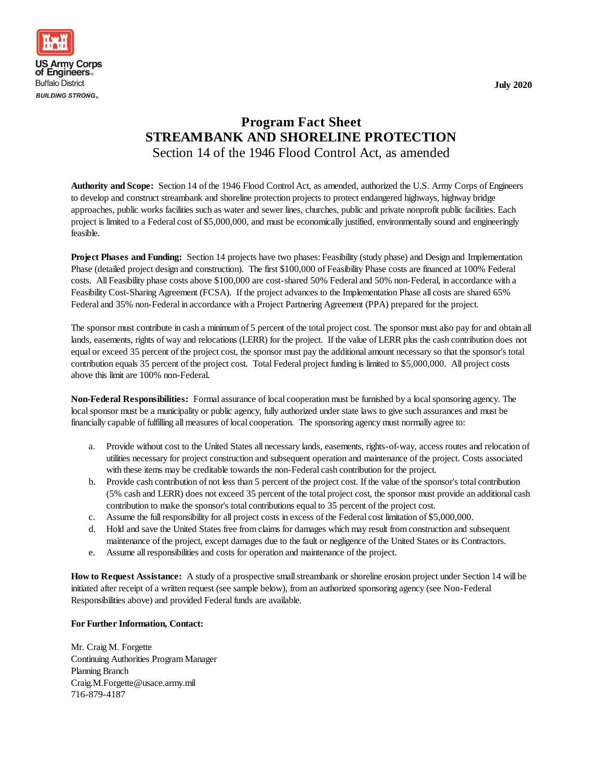

## **Program Fact Sheet STREAMBANK AND SHORELINE PROTECTION** Section 14 of the 1946 Flood Control Act, as amended

**Authority and Scope:** Section 14 of the 1946 Flood Control Act, as amended, authorized the U.S. Army Corps of Engineers to develop and construct streambank and shoreline protection projects to protect endangered highways, highway bridge approaches, public works facilities such as water and sewer lines, churches, public and private nonprofit public facilities. Each project is limited to a Federal cost of \$5,000,000, and must be economically justified, environmentally sound and engineeringly feasible.

**Project Phases and Funding:** Section 14 projects have two phases: Feasibility (study phase) and Design and Implementation Phase (detailed project design and construction). The first \$100,000 of Feasibility Phase costs are financed at 100% Federal costs. All Feasibility phase costs above \$100,000 are cost-shared 50% Federal and 50% non-Federal, in accordance with a Feasibility Cost-Sharing Agreement (FCSA). If the project advances to the Implementation Phase all costs are shared 65% Federal and 35% non-Federal in accordance with a Project Partnering Agreement (PPA) prepared for the project.

The sponsor must contribute in cash a minimum of 5 percent of the total project cost. The sponsor must also pay for and obtain all lands, easements, rights of way and relocations (LERR) for the project. If the value of LERR plus the cash contribution does not equal or exceed 35 percent of the project cost, the sponsor must pay the additional amount necessary so that the sponsor's total contribution equals 35 percent of the project cost. Total Federal project funding is limited to \$5,000,000. All project costs above this limit are 100% non-Federal.

**Non-Federal Responsibilities:** Formal assurance of local cooperation must be furnished by a local sponsoring agency. The local sponsor must be a municipality or public agency, fully authorized under state laws to give such assurances and must be financially capable of fulfilling all measures of local cooperation. The sponsoring agency must normally agree to:

- a. Provide without cost to the United States all necessary lands, easements, rights-of-way, access routes and relocation of utilities necessary for project construction and subsequent operation and maintenance of the project. Costs associated with these items may be creditable towards the non-Federal cash contribution for the project.
- b. Provide cash contribution of not less than 5 percent of the project cost. If the value of the sponsor's total contribution (5% cash and LERR) does not exceed 35 percent of the total project cost, the sponsor must provide an additional cash contribution to make the sponsor's total contributions equal to 35 percent of the project cost.
- c. Assume the full responsibility for all project costs in excess of the Federal cost limitation of \$5,000,000.
- d. Hold and save the United States free from claims for damages which may result from construction and subsequent maintenance of the project, except damages due to the fault or negligence of the United States or its Contractors.
- e. Assume all responsibilities and costs for operation and maintenance of the project.

**How to Request Assistance:** A study of a prospective small streambank or shoreline erosion project under Section 14 will be initiated after receipt of a written request (see sample below), from an authorized sponsoring agency (see Non-Federal Responsibilities above) and provided Federal funds are available.

## **For Further Information, Contact:**

Mr. Craig M. Forgette Continuing Authorities Program Manager Planning Branch Craig.M.Forgette@usace.army.mil 716-879-4187